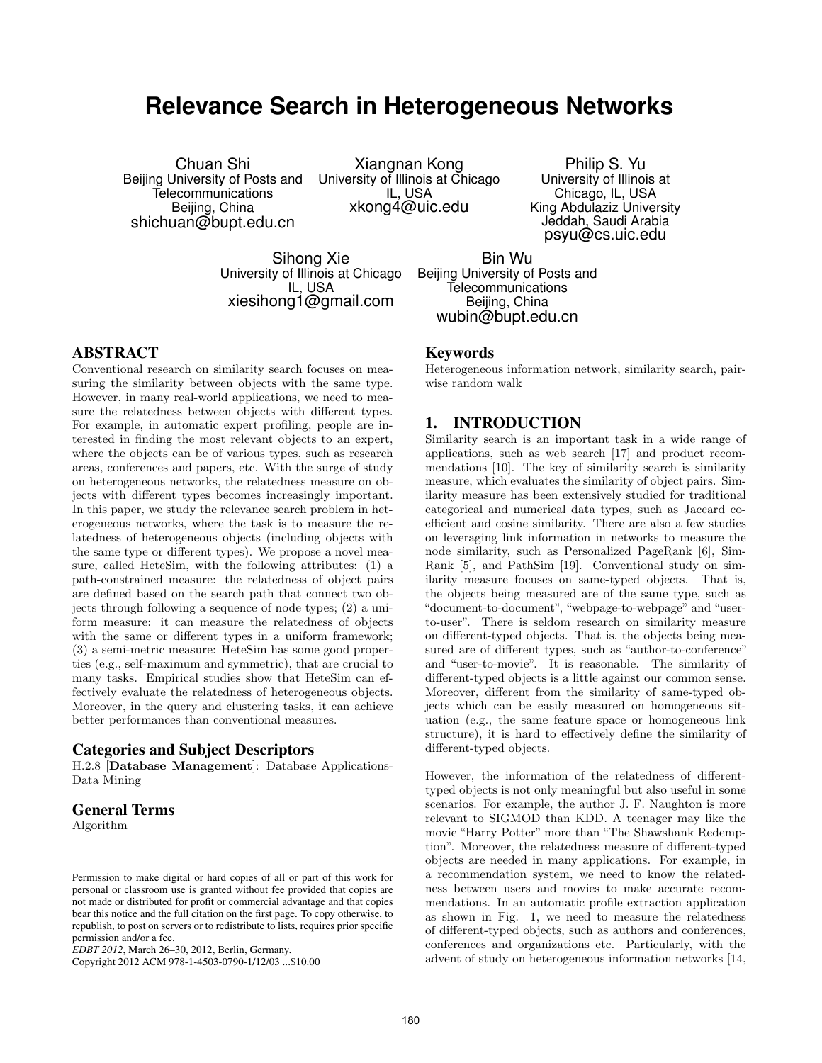# **Relevance Search in Heterogeneous Networks**

Chuan Shi Beijing University of Posts and Telecommunications Beijing, China shichuan@bupt.edu.cn

Xiangnan Kong University of Illinois at Chicago IL, USA xkong4@uic.edu

Philip S. Yu University of Illinois at Chicago, IL, USA King Abdulaziz University Jeddah, Saudi Arabia psyu@cs.uic.edu

Sihong Xie University of Illinois at Chicago IL, USA xiesihong1@gmail.com

Bin Wu Beijing University of Posts and **Telecommunications** Beijing, China wubin@bupt.edu.cn

## **ABSTRACT**

Conventional research on similarity search focuses on measuring the similarity between objects with the same type. However, in many real-world applications, we need to measure the relatedness between objects with different types. For example, in automatic expert profiling, people are interested in finding the most relevant objects to an expert, where the objects can be of various types, such as research areas, conferences and papers, etc. With the surge of study on heterogeneous networks, the relatedness measure on objects with different types becomes increasingly important. In this paper, we study the relevance search problem in heterogeneous networks, where the task is to measure the relatedness of heterogeneous objects (including objects with the same type or different types). We propose a novel measure, called HeteSim, with the following attributes: (1) a path-constrained measure: the relatedness of object pairs are defined based on the search path that connect two objects through following a sequence of node types; (2) a uniform measure: it can measure the relatedness of objects with the same or different types in a uniform framework; (3) a semi-metric measure: HeteSim has some good properties (e.g., self-maximum and symmetric), that are crucial to many tasks. Empirical studies show that HeteSim can effectively evaluate the relatedness of heterogeneous objects. Moreover, in the query and clustering tasks, it can achieve better performances than conventional measures.

#### **Categories and Subject Descriptors**

H.2.8 [Database Management]: Database Applications-Data Mining

## **General Terms**

Algorithm

Copyright 2012 ACM 978-1-4503-0790-1/12/03 ...\$10.00

## **Keywords**

Heterogeneous information network, similarity search, pairwise random walk

## **1. INTRODUCTION**

Similarity search is an important task in a wide range of applications, such as web search [17] and product recommendations [10]. The key of similarity search is similarity measure, which evaluates the similarity of object pairs. Similarity measure has been extensively studied for traditional categorical and numerical data types, such as Jaccard coefficient and cosine similarity. There are also a few studies on leveraging link information in networks to measure the node similarity, such as Personalized PageRank [6], Sim-Rank [5], and PathSim [19]. Conventional study on similarity measure focuses on same-typed objects. That is, the objects being measured are of the same type, such as "document-to-document", "webpage-to-webpage" and "userto-user". There is seldom research on similarity measure on different-typed objects. That is, the objects being measured are of different types, such as "author-to-conference" and "user-to-movie". It is reasonable. The similarity of different-typed objects is a little against our common sense. Moreover, different from the similarity of same-typed objects which can be easily measured on homogeneous situation (e.g., the same feature space or homogeneous link structure), it is hard to effectively define the similarity of different-typed objects.

However, the information of the relatedness of differenttyped objects is not only meaningful but also useful in some scenarios. For example, the author J. F. Naughton is more relevant to SIGMOD than KDD. A teenager may like the movie "Harry Potter" more than "The Shawshank Redemption". Moreover, the relatedness measure of different-typed objects are needed in many applications. For example, in a recommendation system, we need to know the relatedness between users and movies to make accurate recommendations. In an automatic profile extraction application as shown in Fig. 1, we need to measure the relatedness of different-typed objects, such as authors and conferences, conferences and organizations etc. Particularly, with the advent of study on heterogeneous information networks [14,

Permission to make digital or hard copies of all or part of this work for personal or classroom use is granted without fee provided that copies are not made or distributed for profit or commercial advantage and that copies bear this notice and the full citation on the first page. To copy otherwise, to republish, to post on servers or to redistribute to lists, requires prior specific permission and/or a fee.

*EDBT 2012*, March 26–30, 2012, Berlin, Germany.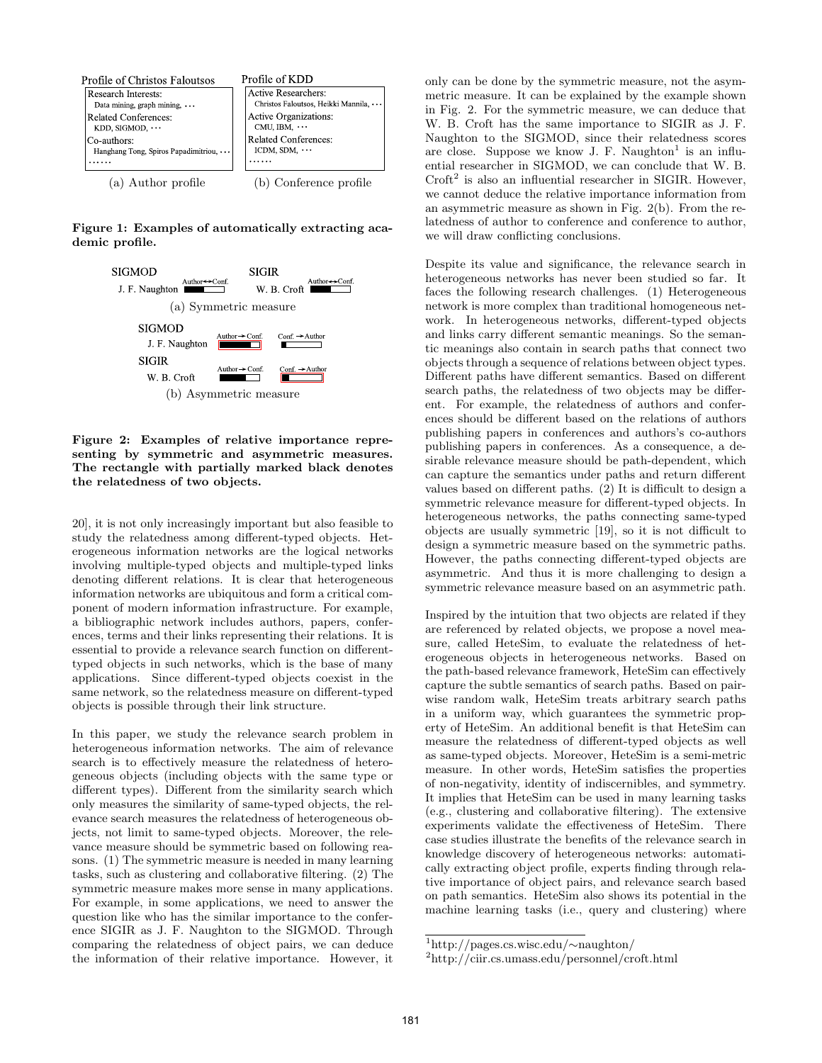

Figure 1: Examples of automatically extracting academic profile.



#### Figure 2: Examples of relative importance representing by symmetric and asymmetric measures. The rectangle with partially marked black denotes the relatedness of two objects.

20], it is not only increasingly important but also feasible to study the relatedness among different-typed objects. Heterogeneous information networks are the logical networks involving multiple-typed objects and multiple-typed links denoting different relations. It is clear that heterogeneous information networks are ubiquitous and form a critical component of modern information infrastructure. For example, a bibliographic network includes authors, papers, conferences, terms and their links representing their relations. It is essential to provide a relevance search function on differenttyped objects in such networks, which is the base of many applications. Since different-typed objects coexist in the same network, so the relatedness measure on different-typed objects is possible through their link structure.

In this paper, we study the relevance search problem in heterogeneous information networks. The aim of relevance search is to effectively measure the relatedness of heterogeneous objects (including objects with the same type or different types). Different from the similarity search which only measures the similarity of same-typed objects, the relevance search measures the relatedness of heterogeneous objects, not limit to same-typed objects. Moreover, the relevance measure should be symmetric based on following reasons. (1) The symmetric measure is needed in many learning tasks, such as clustering and collaborative filtering. (2) The symmetric measure makes more sense in many applications. For example, in some applications, we need to answer the question like who has the similar importance to the conference SIGIR as J. F. Naughton to the SIGMOD. Through comparing the relatedness of object pairs, we can deduce the information of their relative importance. However, it

only can be done by the symmetric measure, not the asymmetric measure. It can be explained by the example shown in Fig. 2. For the symmetric measure, we can deduce that W. B. Croft has the same importance to SIGIR as J. F. Naughton to the SIGMOD, since their relatedness scores are close. Suppose we know J. F. Naughton<sup>1</sup> is an influential researcher in SIGMOD, we can conclude that W. B.  $Crot<sup>2</sup>$  is also an influential researcher in SIGIR. However, we cannot deduce the relative importance information from an asymmetric measure as shown in Fig. 2(b). From the relatedness of author to conference and conference to author, we will draw conflicting conclusions.

Despite its value and significance, the relevance search in heterogeneous networks has never been studied so far. It faces the following research challenges. (1) Heterogeneous network is more complex than traditional homogeneous network. In heterogeneous networks, different-typed objects and links carry different semantic meanings. So the semantic meanings also contain in search paths that connect two objects through a sequence of relations between object types. Different paths have different semantics. Based on different search paths, the relatedness of two objects may be different. For example, the relatedness of authors and conferences should be different based on the relations of authors publishing papers in conferences and authors's co-authors publishing papers in conferences. As a consequence, a desirable relevance measure should be path-dependent, which can capture the semantics under paths and return different values based on different paths. (2) It is difficult to design a symmetric relevance measure for different-typed objects. In heterogeneous networks, the paths connecting same-typed objects are usually symmetric [19], so it is not difficult to design a symmetric measure based on the symmetric paths. However, the paths connecting different-typed objects are asymmetric. And thus it is more challenging to design a symmetric relevance measure based on an asymmetric path.

Inspired by the intuition that two objects are related if they are referenced by related objects, we propose a novel measure, called HeteSim, to evaluate the relatedness of heterogeneous objects in heterogeneous networks. Based on the path-based relevance framework, HeteSim can effectively capture the subtle semantics of search paths. Based on pairwise random walk, HeteSim treats arbitrary search paths in a uniform way, which guarantees the symmetric property of HeteSim. An additional benefit is that HeteSim can measure the relatedness of different-typed objects as well as same-typed objects. Moreover, HeteSim is a semi-metric measure. In other words, HeteSim satisfies the properties of non-negativity, identity of indiscernibles, and symmetry. It implies that HeteSim can be used in many learning tasks (e.g., clustering and collaborative filtering). The extensive experiments validate the effectiveness of HeteSim. There case studies illustrate the benefits of the relevance search in knowledge discovery of heterogeneous networks: automatically extracting object profile, experts finding through relative importance of object pairs, and relevance search based on path semantics. HeteSim also shows its potential in the machine learning tasks (i.e., query and clustering) where

<sup>1</sup>http://pages.cs.wisc.edu/∼naughton/

<sup>2</sup>http://ciir.cs.umass.edu/personnel/croft.html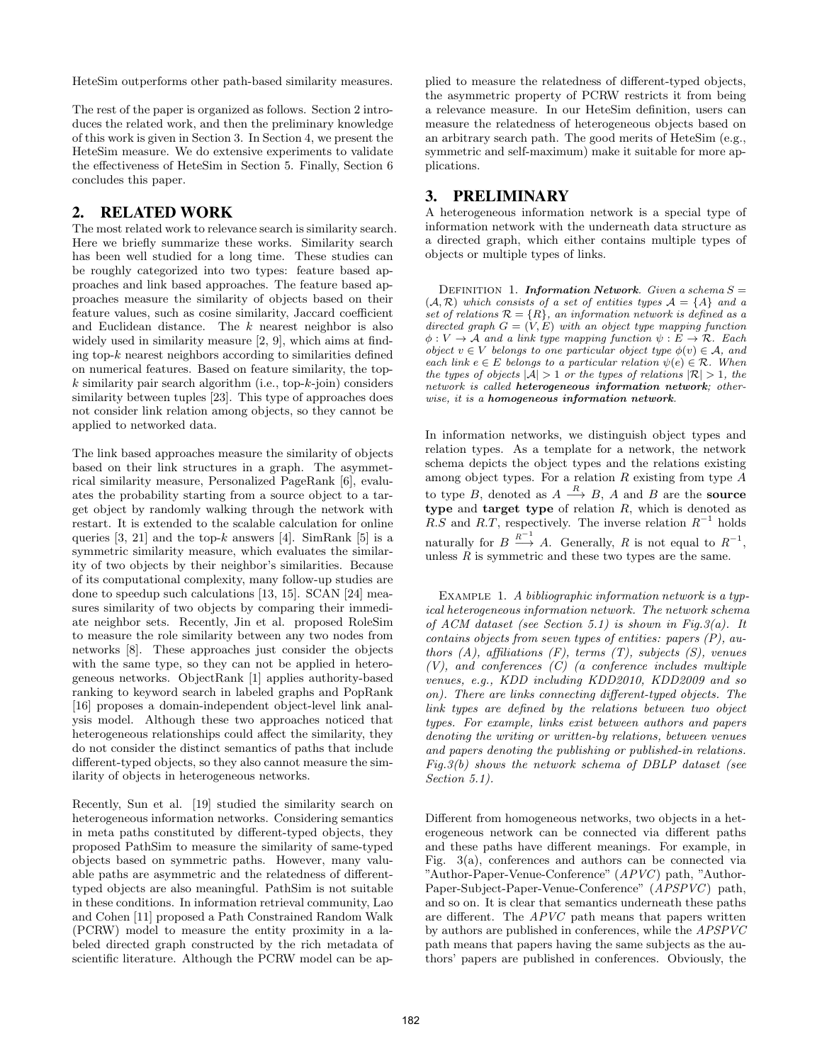HeteSim outperforms other path-based similarity measures.

The rest of the paper is organized as follows. Section 2 introduces the related work, and then the preliminary knowledge of this work is given in Section 3. In Section 4, we present the HeteSim measure. We do extensive experiments to validate the effectiveness of HeteSim in Section 5. Finally, Section 6 concludes this paper.

## **2. RELATED WORK**

The most related work to relevance search is similarity search. Here we briefly summarize these works. Similarity search has been well studied for a long time. These studies can be roughly categorized into two types: feature based approaches and link based approaches. The feature based approaches measure the similarity of objects based on their feature values, such as cosine similarity, Jaccard coefficient and Euclidean distance. The  $k$  nearest neighbor is also widely used in similarity measure [2, 9], which aims at finding top- $k$  nearest neighbors according to similarities defined on numerical features. Based on feature similarity, the top $k$  similarity pair search algorithm (i.e., top- $k$ -join) considers similarity between tuples [23]. This type of approaches does not consider link relation among objects, so they cannot be applied to networked data.

The link based approaches measure the similarity of objects based on their link structures in a graph. The asymmetrical similarity measure, Personalized PageRank [6], evaluates the probability starting from a source object to a target object by randomly walking through the network with restart. It is extended to the scalable calculation for online queries  $[3, 21]$  and the top-k answers  $[4]$ . SimRank  $[5]$  is a symmetric similarity measure, which evaluates the similarity of two objects by their neighbor's similarities. Because of its computational complexity, many follow-up studies are done to speedup such calculations [13, 15]. SCAN [24] measures similarity of two objects by comparing their immediate neighbor sets. Recently, Jin et al. proposed RoleSim to measure the role similarity between any two nodes from networks [8]. These approaches just consider the objects with the same type, so they can not be applied in heterogeneous networks. ObjectRank [1] applies authority-based ranking to keyword search in labeled graphs and PopRank [16] proposes a domain-independent object-level link analysis model. Although these two approaches noticed that heterogeneous relationships could affect the similarity, they do not consider the distinct semantics of paths that include different-typed objects, so they also cannot measure the similarity of objects in heterogeneous networks.

Recently, Sun et al. [19] studied the similarity search on heterogeneous information networks. Considering semantics in meta paths constituted by different-typed objects, they proposed PathSim to measure the similarity of same-typed objects based on symmetric paths. However, many valuable paths are asymmetric and the relatedness of differenttyped objects are also meaningful. PathSim is not suitable in these conditions. In information retrieval community, Lao and Cohen [11] proposed a Path Constrained Random Walk (PCRW) model to measure the entity proximity in a labeled directed graph constructed by the rich metadata of scientific literature. Although the PCRW model can be applied to measure the relatedness of different-typed objects, the asymmetric property of PCRW restricts it from being a relevance measure. In our HeteSim definition, users can measure the relatedness of heterogeneous objects based on an arbitrary search path. The good merits of HeteSim (e.g., symmetric and self-maximum) make it suitable for more applications.

# **3. PRELIMINARY**

A heterogeneous information network is a special type of information network with the underneath data structure as a directed graph, which either contains multiple types of objects or multiple types of links.

DEFINITION 1. Information Network. Given a schema  $S =$  $(A, \mathcal{R})$  which consists of a set of entities types  $\mathcal{A} = \{A\}$  and a set of relations  $\mathcal{R} = \{R\}$ , an information network is defined as a directed graph  $G = (V, E)$  with an object type mapping function  $\phi: V \to \mathcal{A}$  and a link type mapping function  $\psi: E \to \mathcal{R}$ . Each object  $v \in V$  belongs to one particular object type  $\phi(v) \in A$ , and each link  $e \in E$  belongs to a particular relation  $\psi(e) \in \mathcal{R}$ . When the types of objects  $|\mathcal{A}| > 1$  or the types of relations  $|\mathcal{R}| > 1$ , the network is called heterogeneous information network; otherwise, it is a homogeneous information network.

In information networks, we distinguish object types and relation types. As a template for a network, the network schema depicts the object types and the relations existing among object types. For a relation  $R$  existing from type  $A$ to type B, denoted as  $A \stackrel{R}{\longrightarrow} B$ , A and B are the **source** type and target type of relation  $R$ , which is denoted as R.S and R.T, respectively. The inverse relation  $R^{-1}$  holds naturally for  $B \stackrel{R^{-1}}{\longrightarrow} A$ . Generally, R is not equal to  $R^{-1}$ , unless  $R$  is symmetric and these two types are the same.

EXAMPLE 1. A bibliographic information network is a typical heterogeneous information network. The network schema of ACM dataset (see Section 5.1) is shown in Fig.  $3(a)$ . It contains objects from seven types of entities: papers  $(P)$ , authors  $(A)$ , affiliations  $(F)$ , terms  $(T)$ , subjects  $(S)$ , venues  $(V)$ , and conferences  $(C)$  (a conference includes multiple venues, e.g., KDD including KDD2010, KDD2009 and so on). There are links connecting different-typed objects. The link types are defined by the relations between two object types. For example, links exist between authors and papers denoting the writing or written-by relations, between venues and papers denoting the publishing or published-in relations. Fig.3(b) shows the network schema of DBLP dataset (see Section 5.1).

Different from homogeneous networks, two objects in a heterogeneous network can be connected via different paths and these paths have different meanings. For example, in Fig. 3(a), conferences and authors can be connected via "Author-Paper-Venue-Conference" (APVC) path, "Author-Paper-Subject-Paper-Venue-Conference" (APSPVC) path, and so on. It is clear that semantics underneath these paths are different. The APVC path means that papers written by authors are published in conferences, while the APSPVC path means that papers having the same subjects as the authors' papers are published in conferences. Obviously, the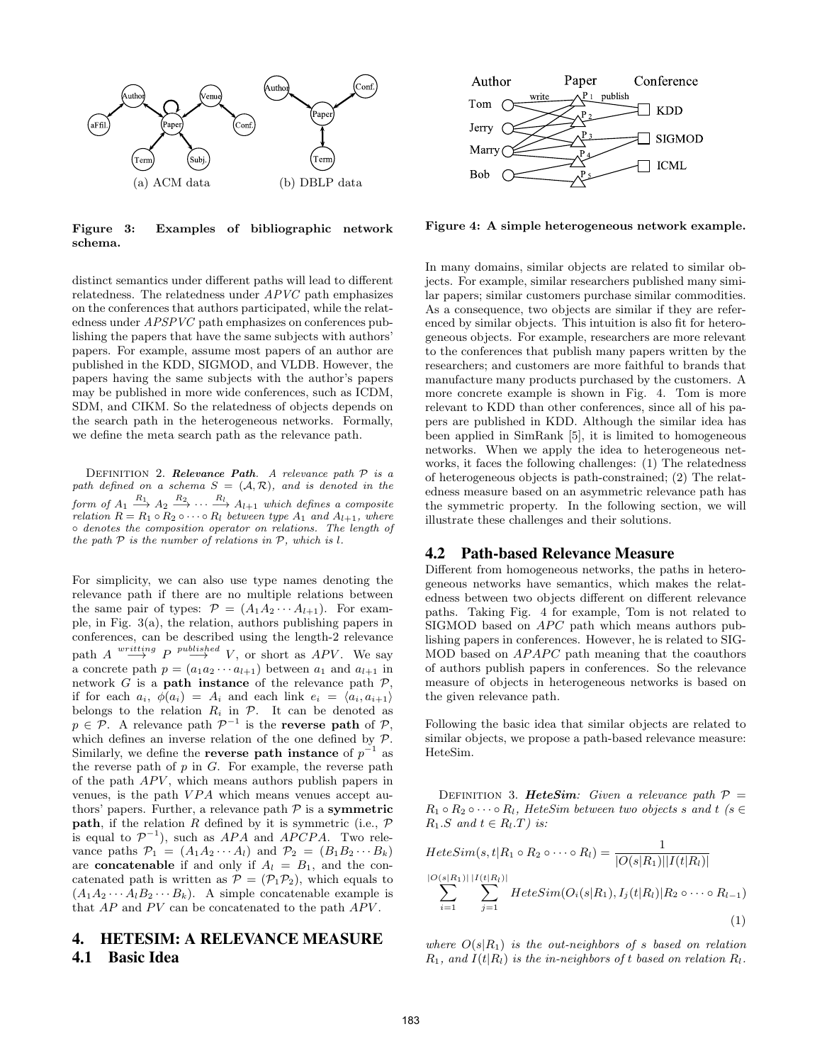

Figure 3: Examples of bibliographic network schema.

distinct semantics under different paths will lead to different relatedness. The relatedness under APVC path emphasizes on the conferences that authors participated, while the relatedness under APSPVC path emphasizes on conferences publishing the papers that have the same subjects with authors' papers. For example, assume most papers of an author are published in the KDD, SIGMOD, and VLDB. However, the papers having the same subjects with the author's papers may be published in more wide conferences, such as ICDM, SDM, and CIKM. So the relatedness of objects depends on the search path in the heterogeneous networks. Formally, we define the meta search path as the relevance path.

DEFINITION 2. Relevance Path. A relevance path  $P$  is a path defined on a schema  $S = (\mathcal{A}, \mathcal{R})$ , and is denoted in the form of  $A_1 \stackrel{R_1}{\longrightarrow} A_2 \stackrel{R_2}{\longrightarrow} \cdots \stackrel{R_l}{\longrightarrow} A_{l+1}$  which defines a composite relation  $R = R_1 \circ R_2 \circ \cdots \circ R_l$  between type  $A_1$  and  $A_{l+1}$ , where ◦ denotes the composition operator on relations. The length of the path  $P$  is the number of relations in  $P$ , which is l.

For simplicity, we can also use type names denoting the relevance path if there are no multiple relations between the same pair of types:  $\mathcal{P} = (A_1 A_2 \cdots A_{l+1})$ . For example, in Fig. 3(a), the relation, authors publishing papers in conferences, can be described using the length-2 relevance path  $A \stackrel{writing}{\longrightarrow} P \stackrel{published}{\longrightarrow} V$ , or short as  $APV$ . We say a concrete path  $p = (a_1 a_2 \cdots a_{l+1})$  between  $a_1$  and  $a_{l+1}$  in network G is a **path instance** of the relevance path  $P$ , if for each  $a_i$ ,  $\phi(a_i) = A_i$  and each link  $e_i = \langle a_i, a_{i+1} \rangle$ belongs to the relation  $R_i$  in  $P$ . It can be denoted as  $p \in \mathcal{P}$ . A relevance path  $\mathcal{P}^{-1}$  is the **reverse path** of  $\mathcal{P}$ , which defines an inverse relation of the one defined by P. Similarly, we define the **reverse path instance** of  $p^{-1}$  as the reverse path of  $p$  in  $G$ . For example, the reverse path of the path  $APV$ , which means authors publish papers in venues, is the path  $VPA$  which means venues accept authors' papers. Further, a relevance path  ${\mathcal P}$  is a symmetric **path**, if the relation R defined by it is symmetric (i.e.,  $\mathcal{P}$ ) is equal to  $\mathcal{P}^{-1}$ ), such as  $APA$  and  $APCPA$ . Two relevance paths  $\mathcal{P}_1 = (A_1 A_2 \cdots A_l)$  and  $\mathcal{P}_2 = (B_1 B_2 \cdots B_k)$ are **concatenable** if and only if  $A_l = B_1$ , and the concatenated path is written as  $P = (P_1P_2)$ , which equals to  $(A_1A_2 \cdots A_lB_2 \cdots B_k)$ . A simple concatenable example is that  $AP$  and  $PV$  can be concatenated to the path  $APV$ .

# **4. HETESIM: A RELEVANCE MEASURE 4.1 Basic Idea**



Figure 4: A simple heterogeneous network example.

In many domains, similar objects are related to similar objects. For example, similar researchers published many similar papers; similar customers purchase similar commodities. As a consequence, two objects are similar if they are referenced by similar objects. This intuition is also fit for heterogeneous objects. For example, researchers are more relevant to the conferences that publish many papers written by the researchers; and customers are more faithful to brands that manufacture many products purchased by the customers. A more concrete example is shown in Fig. 4. Tom is more relevant to KDD than other conferences, since all of his papers are published in KDD. Although the similar idea has been applied in SimRank [5], it is limited to homogeneous networks. When we apply the idea to heterogeneous networks, it faces the following challenges: (1) The relatedness of heterogeneous objects is path-constrained; (2) The relatedness measure based on an asymmetric relevance path has the symmetric property. In the following section, we will illustrate these challenges and their solutions.

#### **4.2 Path-based Relevance Measure**

Different from homogeneous networks, the paths in heterogeneous networks have semantics, which makes the relatedness between two objects different on different relevance paths. Taking Fig. 4 for example, Tom is not related to SIGMOD based on  $APC$  path which means authors publishing papers in conferences. However, he is related to SIG-MOD based on  $APAPC$  path meaning that the coauthors of authors publish papers in conferences. So the relevance measure of objects in heterogeneous networks is based on the given relevance path.

Following the basic idea that similar objects are related to similar objects, we propose a path-based relevance measure: HeteSim.

DEFINITION 3. HeteSim: Given a relevance path  $P =$  $R_1 \circ R_2 \circ \cdots \circ R_l$ , HeteSim between two objects s and t (s  $\in$  $R_1.S$  and  $t \in R_l.T$ ) is:

$$
HeteSim(s, t | R_1 \circ R_2 \circ \cdots \circ R_l) = \frac{1}{|O(s|R_1)||I(t|R_l)|}
$$
  
\n
$$
\sum_{i=1}^{|O(s|R_1)||I(t|R_l)|} \sum_{j=1}^{|O(s|R_1)||I(t|R_1) \circ \cdots \circ R_{l-1}}
$$
  
\n
$$
HeteSim(O_i(s|R_1), I_j(t|R_l)|R_2 \circ \cdots \circ R_{l-1})
$$
  
\n(1)

where  $O(s|R_1)$  is the out-neighbors of s based on relation  $R_1$ , and  $I(t|R_l)$  is the in-neighbors of t based on relation  $R_l$ .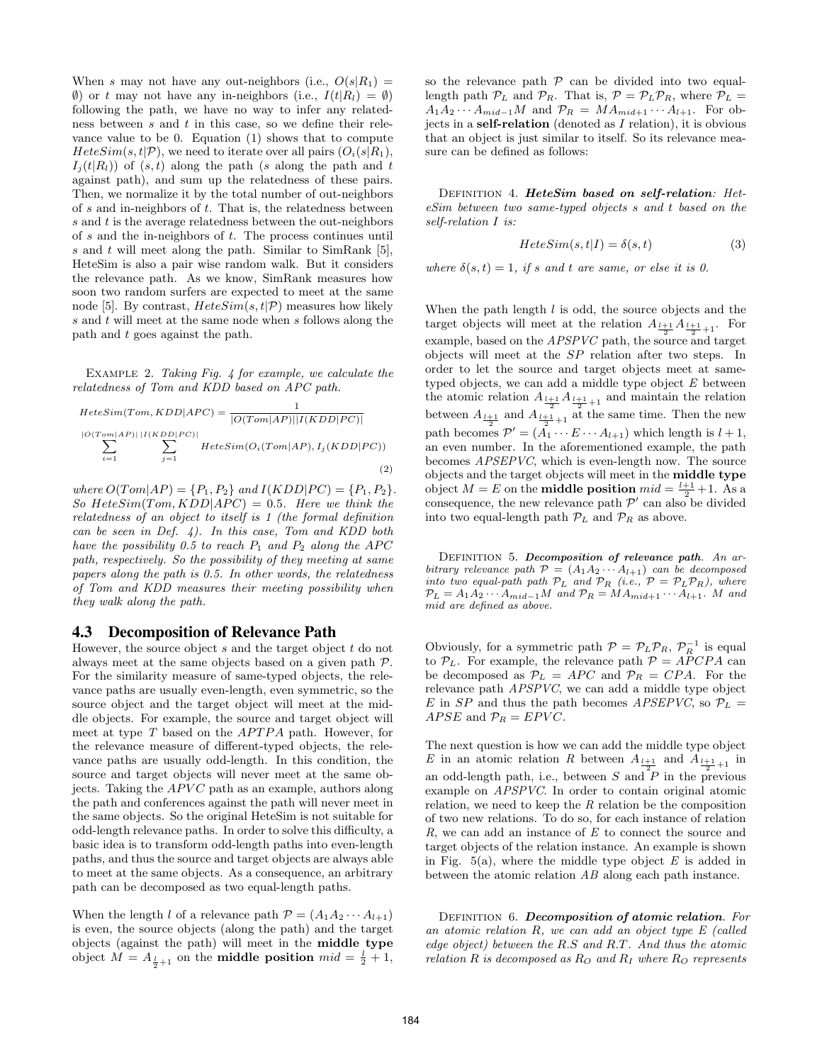When s may not have any out-neighbors (i.e.,  $O(s|R_1)$  =  $\emptyset$ ) or t may not have any in-neighbors (i.e.,  $I(t|R_l) = \emptyset$ ) following the path, we have no way to infer any relatedness between  $s$  and  $t$  in this case, so we define their relevance value to be 0. Equation (1) shows that to compute  $HeteSim(s, t | \mathcal{P})$ , we need to iterate over all pairs  $(O_i(s | R_1))$ ,  $I_i(t|R_i)$  of  $(s, t)$  along the path (s along the path and t against path), and sum up the relatedness of these pairs. Then, we normalize it by the total number of out-neighbors of s and in-neighbors of t. That is, the relatedness between  $s$  and  $t$  is the average relatedness between the out-neighbors of s and the in-neighbors of t. The process continues until s and t will meet along the path. Similar to SimRank  $[5]$ , HeteSim is also a pair wise random walk. But it considers the relevance path. As we know, SimRank measures how soon two random surfers are expected to meet at the same node [5]. By contrast,  $HeteSim(s, t|\mathcal{P})$  measures how likely  $s$  and  $t$  will meet at the same node when  $s$  follows along the path and t goes against the path.

EXAMPLE 2. Taking Fig.  $4$  for example, we calculate the relatedness of Tom and KDD based on APC path.

$$
HeteSim(Tom, KDD|APC) = \frac{1}{|O(Tom|AP)||I(KDD|PC)|}
$$
  
\n
$$
\sum_{i=1}^{|O(Tom|AP)| |I(KDD|PC)|} HeteSim(O_i(Tom|AP), I_j(KDD|PC))
$$
  
\n(2)

where  $O(Tom|AP) = \{P_1, P_2\}$  and  $I(KDD|PC) = \{P_1, P_2\}.$ So  $Heesim(Tom, KDD|APC) = 0.5$ . Here we think the relatedness of an object to itself is 1 (the formal definition can be seen in Def. 4). In this case, Tom and KDD both have the possibility 0.5 to reach  $P_1$  and  $P_2$  along the APC path, respectively. So the possibility of they meeting at same papers along the path is 0.5. In other words, the relatedness of Tom and KDD measures their meeting possibility when they walk along the path.

#### **4.3 Decomposition of Relevance Path**

However, the source object  $s$  and the target object  $t$  do not always meet at the same objects based on a given path P. For the similarity measure of same-typed objects, the relevance paths are usually even-length, even symmetric, so the source object and the target object will meet at the middle objects. For example, the source and target object will meet at type  $T$  based on the  $APTPA$  path. However, for the relevance measure of different-typed objects, the relevance paths are usually odd-length. In this condition, the source and target objects will never meet at the same objects. Taking the  $APVC$  path as an example, authors along the path and conferences against the path will never meet in the same objects. So the original HeteSim is not suitable for odd-length relevance paths. In order to solve this difficulty, a basic idea is to transform odd-length paths into even-length paths, and thus the source and target objects are always able to meet at the same objects. As a consequence, an arbitrary path can be decomposed as two equal-length paths.

When the length l of a relevance path  $\mathcal{P} = (A_1 A_2 \cdots A_{l+1})$ is even, the source objects (along the path) and the target objects (against the path) will meet in the middle type object  $M = A_{\frac{l}{2}+1}$  on the **middle position**  $mid = \frac{l}{2} + 1$ ,

so the relevance path  $P$  can be divided into two equallength path  $P_L$  and  $P_R$ . That is,  $P = P_L P_R$ , where  $P_L$  $A_1A_2 \cdots A_{mid-1}M$  and  $\mathcal{P}_R = MA_{mid+1} \cdots A_{l+1}$ . For objects in a self-relation (denoted as  $I$  relation), it is obvious that an object is just similar to itself. So its relevance measure can be defined as follows:

DEFINITION 4. HeteSim based on self-relation: HeteSim between two same-typed objects s and t based on the self-relation I is:

$$
HeteSim(s, t|I) = \delta(s, t)
$$
\n(3)

where  $\delta(s,t) = 1$ , if s and t are same, or else it is 0.

When the path length  $l$  is odd, the source objects and the target objects will meet at the relation  $A_{\frac{l+1}{2}}A_{\frac{l+1}{2}+1}$ . For example, based on the *APSPVC* path, the source and target objects will meet at the SP relation after two steps. In order to let the source and target objects meet at sametyped objects, we can add a middle type object  $E$  between the atomic relation  $A_{\frac{l+1}{2}} A_{\frac{l+1}{2}+1}$  and maintain the relation between  $A_{\frac{l+1}{2}}$  and  $A_{\frac{l+1}{2}+1}$  at the same time. Then the new path becomes  $\mathcal{P}' = (A_1 \cdots E \cdots A_{l+1})$  which length is  $l+1$ , an even number. In the aforementioned example, the path becomes APSEPVC, which is even-length now. The source objects and the target objects will meet in the middle type object  $M = E$  on the **middle position**  $mid = \frac{l+1}{2} + 1$ . As a consequence, the new relevance path  $\mathcal{P}'$  can also be divided into two equal-length path  $\mathcal{P}_L$  and  $\mathcal{P}_R$  as above.

DEFINITION 5. Decomposition of relevance path. An arbitrary relevance path  $\mathcal{P} = (A_1 A_2 \cdots A_{l+1})$  can be decomposed into two equal-path path  $\mathcal{P}_L$  and  $\mathcal{P}_R$  (i.e.,  $\mathcal{P} = \mathcal{P}_L \mathcal{P}_R$ ), where  $\mathcal{P}_L = A_1 A_2 \cdots A_{mid-1} M$  and  $\mathcal{P}_R = M A_{mid+1} \cdots A_{l+1}$ . M and mid are defined as above.

Obviously, for a symmetric path  $P = P_L P_R$ ,  $P_R^{-1}$  is equal to  $\mathcal{P}_L$ . For example, the relevance path  $\mathcal{P} = \mathbf{A} \mathbf{P} \mathbf{C} \mathbf{P} \mathbf{A}$  can be decomposed as  $\mathcal{P}_L = APC$  and  $\mathcal{P}_R = CPA$ . For the relevance path APSPVC, we can add a middle type object E in SP and thus the path becomes  $APSEPVC$ , so  $P_L =$  $APSE$  and  $P_R = EPVC$ .

The next question is how we can add the middle type object E in an atomic relation R between  $A_{\frac{l+1}{2}}$  and  $A_{\frac{l+1}{2}+1}$  in an odd-length path, i.e., between S and  $\overline{P}$  in the previous example on APSPVC. In order to contain original atomic relation, we need to keep the  $R$  relation be the composition of two new relations. To do so, for each instance of relation R, we can add an instance of E to connect the source and target objects of the relation instance. An example is shown in Fig.  $5(a)$ , where the middle type object E is added in between the atomic relation AB along each path instance.

DEFINITION 6. Decomposition of atomic relation. For an atomic relation R, we can add an object type E (called edge object) between the  $R.S$  and  $R.T.$  And thus the atomic relation  $R$  is decomposed as  $R_O$  and  $R_I$  where  $R_O$  represents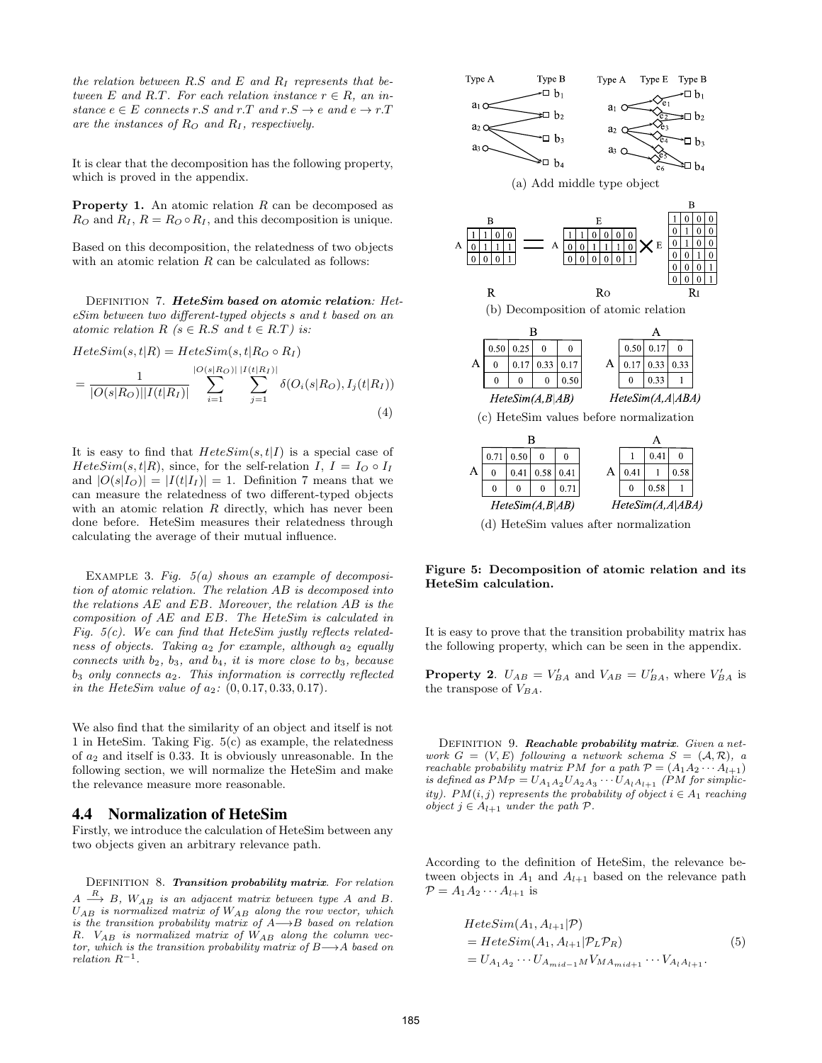the relation between R.S and E and  $R_I$  represents that between E and R.T. For each relation instance  $r \in R$ , an instance  $e \in E$  connects r.S and r.T and r.S  $\rightarrow e$  and  $e \rightarrow r$ .T are the instances of  $R_O$  and  $R_I$ , respectively.

It is clear that the decomposition has the following property, which is proved in the appendix.

**Property 1.** An atomic relation  $R$  can be decomposed as  $R_O$  and  $R_I$ ,  $R = R_O \circ R_I$ , and this decomposition is unique.

Based on this decomposition, the relatedness of two objects with an atomic relation  $R$  can be calculated as follows:

DEFINITION 7. HeteSim based on atomic relation: HeteSim between two different-typed objects s and t based on an atomic relation R  $(s \in R.S \text{ and } t \in R.T)$  is:

$$
HeteSim(s, t|R) = HeteSim(s, t|RO \circ RI)
$$
  
= 
$$
\frac{1}{|O(s|RO)||I(t|RI)|} \sum_{i=1}^{|O(s|RO)| |I(t|RI)|} \sum_{j=1}^{|O(s|RO)| |I(t|RI)|} \delta(O_i(s|RO), I_j(t|RI))
$$
(4)

It is easy to find that  $HeteSim(s, t|I)$  is a special case of  $HeteSim(s, t|R)$ , since, for the self-relation I,  $I = I_O \circ I_I$ and  $|O(s|I_O)| = |I(t|I_I)| = 1$ . Definition 7 means that we can measure the relatedness of two different-typed objects with an atomic relation  $R$  directly, which has never been done before. HeteSim measures their relatedness through calculating the average of their mutual influence.

EXAMPLE 3. Fig.  $5(a)$  shows an example of decomposition of atomic relation. The relation AB is decomposed into the relations AE and EB. Moreover, the relation AB is the composition of AE and EB. The HeteSim is calculated in Fig.  $5(c)$ . We can find that HeteSim justly reflects relatedness of objects. Taking  $a_2$  for example, although  $a_2$  equally connects with  $b_2$ ,  $b_3$ , and  $b_4$ , it is more close to  $b_3$ , because  $b_3$  only connects  $a_2$ . This information is correctly reflected in the HeteSim value of  $a_2$ :  $(0, 0.17, 0.33, 0.17)$ .

We also find that the similarity of an object and itself is not 1 in HeteSim. Taking Fig. 5(c) as example, the relatedness of  $a_2$  and itself is 0.33. It is obviously unreasonable. In the following section, we will normalize the HeteSim and make the relevance measure more reasonable.

#### **4.4 Normalization of HeteSim**

Firstly, we introduce the calculation of HeteSim between any two objects given an arbitrary relevance path.

DEFINITION 8. Transition probability matrix. For relation  $A \stackrel{R}{\longrightarrow} B$ ,  $W_{AB}$  is an adjacent matrix between type A and B.  $U_{AB}$  is normalized matrix of  $W_{AB}$  along the row vector, which is the transition probability matrix of  $A \rightarrow B$  based on relation R.  $V_{AB}$  is normalized matrix of  $W_{AB}$  along the column vector, which is the transition probability matrix of  $B\longrightarrow A$  based on  $relation R^{-1}.$ 



(d) HeteSim values after normalization

#### Figure 5: Decomposition of atomic relation and its HeteSim calculation.

It is easy to prove that the transition probability matrix has the following property, which can be seen in the appendix.

**Property 2.**  $U_{AB} = V'_{BA}$  and  $V_{AB} = U'_{BA}$ , where  $V'_{BA}$  is the transpose of  $V_{BA}$ .

DEFINITION 9. Reachable probability matrix. Given a network  $G = (V, E)$  following a network schema  $S = (A, R)$ , a reachable probability matrix PM for a path  $\mathcal{P} = (A_1 A_2 \cdots A_{l+1})$ is defined as  $PM_{\mathcal{P}} = U_{A_1 A_2} U_{A_2 A_3} \cdots U_{A_l A_{l+1}}$  (PM for simplicity). PM $(i, j)$  represents the probability of object  $i \in A_1$  reaching *object*  $j \in A_{l+1}$  *under the path*  $P$ .

According to the definition of HeteSim, the relevance between objects in  $A_1$  and  $A_{l+1}$  based on the relevance path  $\mathcal{P} = A_1 A_2 \cdots A_{l+1}$  is

$$
HeteSim(A_1, A_{l+1} | \mathcal{P})
$$
  
= 
$$
HeteSim(A_1, A_{l+1} | \mathcal{P}_L \mathcal{P}_R)
$$
  
= 
$$
U_{A_1 A_2} \cdots U_{A_{mid-1} M} V_{M A_{mid+1}} \cdots V_{A_l A_{l+1}}.
$$
 (5)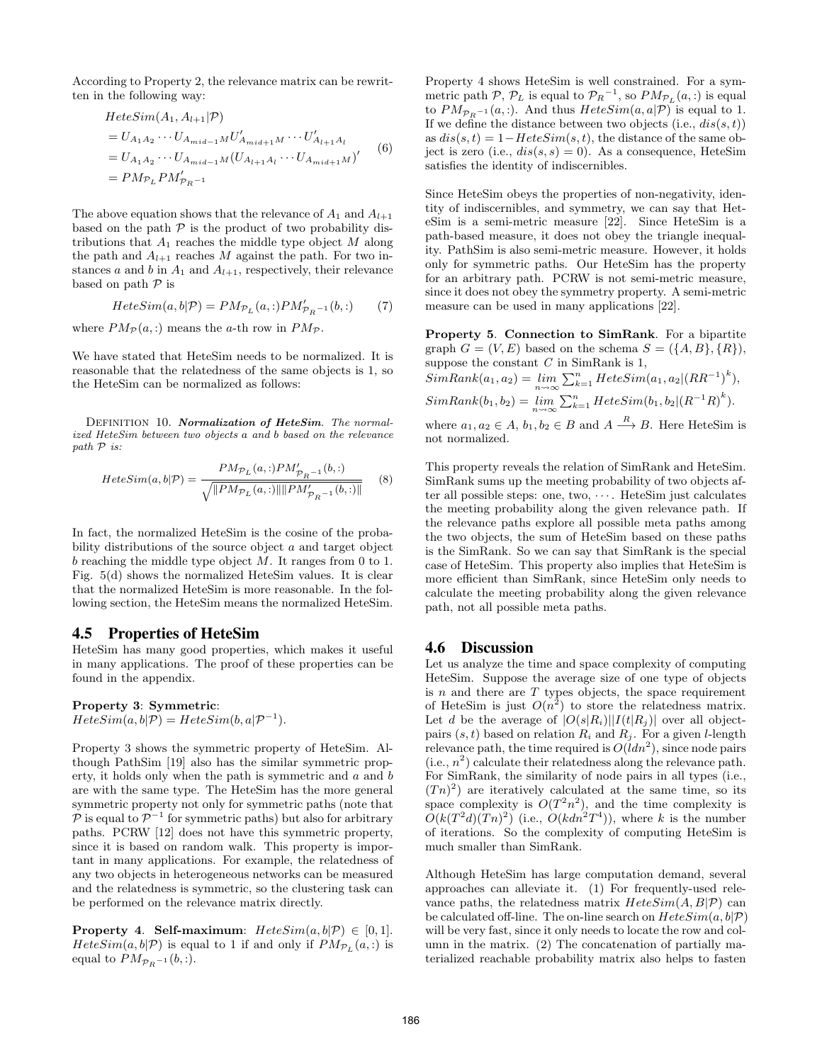According to Property 2, the relevance matrix can be rewritten in the following way:

$$
HeteSim(A_1, A_{l+1}|\mathcal{P})
$$
  
=  $U_{A_1 A_2} \cdots U_{A_{mid-1} M} U'_{A_{mid+1} M} \cdots U'_{A_{l+1} A_l}$   
=  $U_{A_1 A_2} \cdots U_{A_{mid-1} M} (U_{A_{l+1} A_l} \cdots U_{A_{mid+1} M})'$  (6)  
=  $PM_{\mathcal{P}_L} PM'_{\mathcal{P}_R}^{-1}$ 

The above equation shows that the relevance of  $A_1$  and  $A_{l+1}$ based on the path  $P$  is the product of two probability distributions that  $A_1$  reaches the middle type object  $M$  along the path and  $A_{l+1}$  reaches M against the path. For two instances a and b in  $A_1$  and  $A_{l+1}$ , respectively, their relevance based on path  $P$  is

$$
HeteSim(a, b | \mathcal{P}) = PM_{\mathcal{P}_L}(a, :) PM'_{\mathcal{P}_R^{-1}}(b, :)
$$
 (7)

where  $PMP(a, :)$  means the a-th row in  $PMP$ .

We have stated that HeteSim needs to be normalized. It is reasonable that the relatedness of the same objects is 1, so the HeteSim can be normalized as follows:

DEFINITION 10. Normalization of HeteSim. The normalized HeteSim between two objects a and b based on the relevance path  $P$  is:

$$
HeteSim(a, b | \mathcal{P}) = \frac{PM_{\mathcal{P}_L}(a, :)PM'_{\mathcal{P}_R - 1}(b, :)}{\sqrt{||PM_{\mathcal{P}_L}(a, :) || ||PM'_{\mathcal{P}_R - 1}(b, :) ||}}
$$
(8)

In fact, the normalized HeteSim is the cosine of the probability distributions of the source object a and target object  $b$  reaching the middle type object  $M$ . It ranges from 0 to 1. Fig. 5(d) shows the normalized HeteSim values. It is clear that the normalized HeteSim is more reasonable. In the following section, the HeteSim means the normalized HeteSim.

## **4.5 Properties of HeteSim**

HeteSim has many good properties, which makes it useful in many applications. The proof of these properties can be found in the appendix.

#### Property 3: Symmetric:  $HeteSim(a, b | \mathcal{P}) = HeteSim(b, a | \mathcal{P}^{-1}).$

Property 3 shows the symmetric property of HeteSim. Although PathSim [19] also has the similar symmetric property, it holds only when the path is symmetric and a and b are with the same type. The HeteSim has the more general symmetric property not only for symmetric paths (note that P is equal to  $\mathcal{P}^{-1}$  for symmetric paths) but also for arbitrary paths. PCRW [12] does not have this symmetric property, since it is based on random walk. This property is important in many applications. For example, the relatedness of any two objects in heterogeneous networks can be measured and the relatedness is symmetric, so the clustering task can be performed on the relevance matrix directly.

**Property 4. Self-maximum:**  $HeteSim(a, b|\mathcal{P}) \in [0, 1].$  $HeteSim(a, b|\mathcal{P})$  is equal to 1 if and only if  $PM_{\mathcal{P}_L}(a, :)$  is equal to  $PM_{\mathcal{P}_R-1}(b,:)$ .

Property 4 shows HeteSim is well constrained. For a symmetric path  $P$ ,  $P_L$  is equal to  $P_R^{-1}$ , so  $PM_{P_L}(a, :)$  is equal to  $PM_{\mathcal{P}_R^{-1}}(a, :)$ . And thus  $HeteSim(a, a|\mathcal{P})$  is equal to 1. If we define the distance between two objects (i.e.,  $dis(s, t)$ ) as  $dis(s, t) = 1 - HeteSim(s, t)$ , the distance of the same object is zero (i.e.,  $dis(s, s) = 0$ ). As a consequence, HeteSim satisfies the identity of indiscernibles.

Since HeteSim obeys the properties of non-negativity, identity of indiscernibles, and symmetry, we can say that HeteSim is a semi-metric measure [22]. Since HeteSim is a path-based measure, it does not obey the triangle inequality. PathSim is also semi-metric measure. However, it holds only for symmetric paths. Our HeteSim has the property for an arbitrary path. PCRW is not semi-metric measure, since it does not obey the symmetry property. A semi-metric measure can be used in many applications [22].

Property 5. Connection to SimRank. For a bipartite graph  $G = (V, E)$  based on the schema  $S = (\{A, B\}, \{R\})$ , suppose the constant  $C$  in SimRank is 1,

 $SimRank(a_1, a_2) = \lim_{n \to \infty} \sum_{k=1}^{n} HeteSim(a_1, a_2) (RR^{-1})^k),$  $SimRank(b_1, b_2) = lim_{n \to \infty} \sum_{k=1}^{n} HeteSim(b_1, b_2 | (R^{-1}R)^{k}).$ where  $a_1, a_2 \in A$ ,  $b_1, b_2 \in B$  and  $A \stackrel{R}{\longrightarrow} B$ . Here HeteSim is not normalized.

This property reveals the relation of SimRank and HeteSim. SimRank sums up the meeting probability of two objects after all possible steps: one, two,  $\cdots$ . HeteSim just calculates the meeting probability along the given relevance path. If the relevance paths explore all possible meta paths among the two objects, the sum of HeteSim based on these paths is the SimRank. So we can say that SimRank is the special case of HeteSim. This property also implies that HeteSim is more efficient than SimRank, since HeteSim only needs to calculate the meeting probability along the given relevance path, not all possible meta paths.

## **4.6 Discussion**

Let us analyze the time and space complexity of computing HeteSim. Suppose the average size of one type of objects is  $n$  and there are  $T$  types objects, the space requirement of HeteSim is just  $O(n^2)$  to store the relatedness matrix. Let d be the average of  $|O(s|R_i)||I(t|R_j)|$  over all objectpairs  $(s, t)$  based on relation  $R_i$  and  $R_j$ . For a given *l*-length relevance path, the time required is  $O(dn^2)$ , since node pairs  $(i.e., n<sup>2</sup>)$  calculate their relatedness along the relevance path. For SimRank, the similarity of node pairs in all types (i.e.,  $(Tn)^2$  are iteratively calculated at the same time, so its space complexity is  $O(T^2n^2)$ , and the time complexity is  $O(k(T^2d)(Tn)^2)$  (i.e.,  $O(kdn^2T^4)$ ), where k is the number of iterations. So the complexity of computing HeteSim is much smaller than SimRank.

Although HeteSim has large computation demand, several approaches can alleviate it. (1) For frequently-used relevance paths, the relatedness matrix  $HeteSim(A, B|\mathcal{P})$  can be calculated off-line. The on-line search on  $HeteSim(a, b|\mathcal{P})$ will be very fast, since it only needs to locate the row and column in the matrix. (2) The concatenation of partially materialized reachable probability matrix also helps to fasten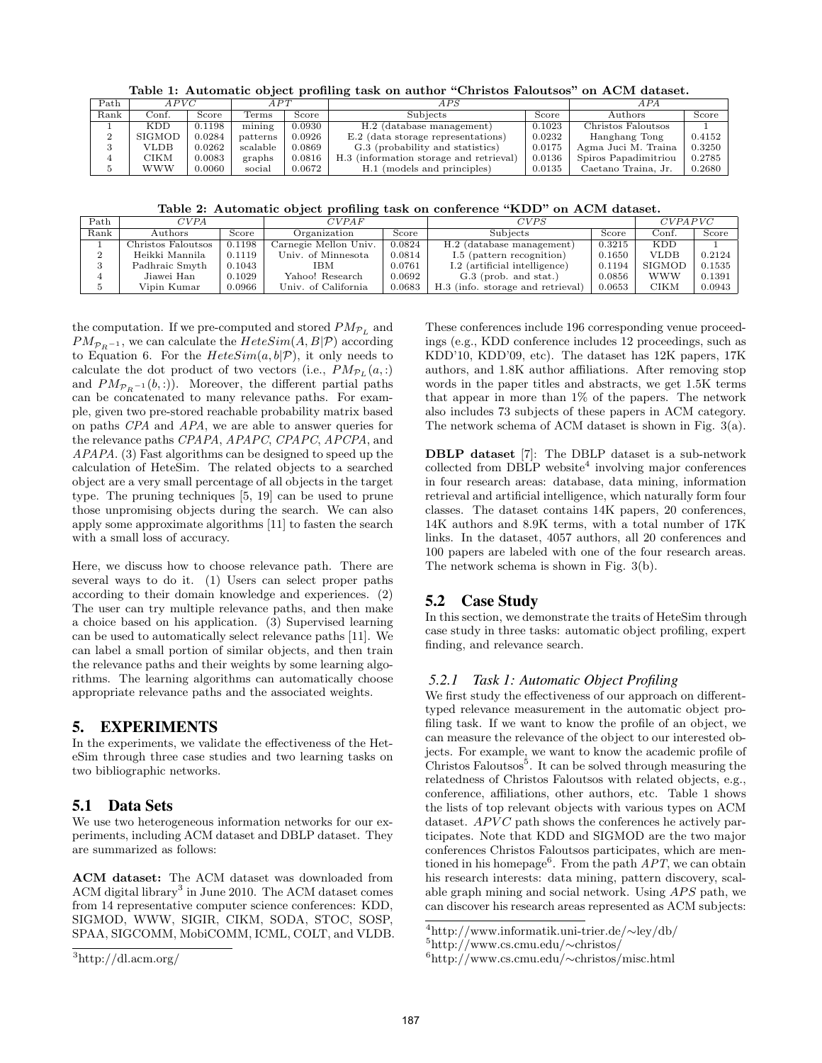Table 1: Automatic object profiling task on author "Christos Faloutsos" on ACM dataset.

| Path | APVC   |        | A P T    |        | A P.S                                             | A PA   |                      |        |
|------|--------|--------|----------|--------|---------------------------------------------------|--------|----------------------|--------|
| Rank | Conf.  | Score  | Ferms    | Score  | Subjects<br>Score                                 |        | Authors              | Score  |
|      | KDD.   | 0.1198 | mining   | 0.0930 | H.2 (database management)                         | 0.1023 | Christos Faloutsos   |        |
| ∼    | SIGMOD | 0.0284 | patterns | 0.0926 | 0.0232<br>E.2 (data storage representations)      |        | Hanghang Tong        | 0.4152 |
|      | VLDB   | 0.0262 | scalable | 0.0869 | G.3 (probability and statistics)                  | 0.0175 | Agma Juci M. Traina  | 0.3250 |
|      | CIKM   | 0.0083 | graphs   | 0.0816 | H.3 (information storage and retrieval)<br>0.0136 |        | Spiros Papadimitriou | 0.2785 |
|      | www    | 0.0060 | social   | 0.0672 | (models and principles)<br>H.1                    | 0.0135 | Caetano Traina. Jr.  | 0.2680 |

Table 2: Automatic object profiling task on conference "KDD" on ACM dataset.

| Path | CVPA               |        | CVPA F                |        | CVPS                              | CVPAPVC |            |        |
|------|--------------------|--------|-----------------------|--------|-----------------------------------|---------|------------|--------|
| Rank | Authors            | Score  | Organization          | Score  | Subjects                          | Score   | Conf.      | Score  |
|      | Christos Faloutsos | 0.1198 | Carnegie Mellon Univ. | 0.0824 | H.2 (database management)         | 0.3215  | <b>KDD</b> |        |
|      | Heikki Mannila     | 0.1119 | Univ. of Minnesota    | 0.0814 | I.5 (pattern recognition)         | 0.1650  | VLDB       | 0.2124 |
|      | Padhraic Smyth     | 0.1043 | IВM                   | 0.0761 | I.2 (artificial intelligence)     | 0.1194  | SIGMOD     | 0.1535 |
|      | Jiawei Han         | 0.1029 | Yahoo! Research       | 0.0692 | $G.3$ (prob. and stat.)           | 0.0856  | <b>WWW</b> | 0.1391 |
|      | Vipin Kumar        | 0.0966 | Univ. of California   | 0.0683 | H.3 (info. storage and retrieval) | 0.0653  | CIKM       | 0.0943 |

the computation. If we pre-computed and stored  $PM_{\mathcal{P}_L}$  and  $PM_{\mathcal{P}_R^{-1}}$ , we can calculate the  $HeteSim(A, B|\mathcal{P})$  according to Equation 6. For the  $HeteSim(a, b|\mathcal{P})$ , it only needs to calculate the dot product of two vectors (i.e.,  $PM_{\mathcal{P}_L}(a, :)$ and  $PM_{\mathcal{P}_R^{-1}}(b, :)$ . Moreover, the different partial paths can be concatenated to many relevance paths. For example, given two pre-stored reachable probability matrix based on paths CPA and APA, we are able to answer queries for the relevance paths CPAPA, APAPC, CPAPC, APCPA, and APAPA. (3) Fast algorithms can be designed to speed up the calculation of HeteSim. The related objects to a searched object are a very small percentage of all objects in the target type. The pruning techniques [5, 19] can be used to prune those unpromising objects during the search. We can also apply some approximate algorithms [11] to fasten the search with a small loss of accuracy.

Here, we discuss how to choose relevance path. There are several ways to do it. (1) Users can select proper paths according to their domain knowledge and experiences. (2) The user can try multiple relevance paths, and then make a choice based on his application. (3) Supervised learning can be used to automatically select relevance paths [11]. We can label a small portion of similar objects, and then train the relevance paths and their weights by some learning algorithms. The learning algorithms can automatically choose appropriate relevance paths and the associated weights.

## **5. EXPERIMENTS**

In the experiments, we validate the effectiveness of the HeteSim through three case studies and two learning tasks on two bibliographic networks.

## **5.1 Data Sets**

We use two heterogeneous information networks for our experiments, including ACM dataset and DBLP dataset. They are summarized as follows:

ACM dataset: The ACM dataset was downloaded from ACM digital library<sup>3</sup> in June 2010. The ACM dataset comes from 14 representative computer science conferences: KDD, SIGMOD, WWW, SIGIR, CIKM, SODA, STOC, SOSP, SPAA, SIGCOMM, MobiCOMM, ICML, COLT, and VLDB. These conferences include 196 corresponding venue proceedings (e.g., KDD conference includes 12 proceedings, such as KDD'10, KDD'09, etc). The dataset has 12K papers, 17K authors, and 1.8K author affiliations. After removing stop words in the paper titles and abstracts, we get 1.5K terms that appear in more than 1% of the papers. The network also includes 73 subjects of these papers in ACM category. The network schema of ACM dataset is shown in Fig. 3(a).

DBLP dataset [7]: The DBLP dataset is a sub-network collected from  $DBLP$  website<sup>4</sup> involving major conferences in four research areas: database, data mining, information retrieval and artificial intelligence, which naturally form four classes. The dataset contains 14K papers, 20 conferences, 14K authors and 8.9K terms, with a total number of 17K links. In the dataset, 4057 authors, all 20 conferences and 100 papers are labeled with one of the four research areas. The network schema is shown in Fig. 3(b).

## **5.2 Case Study**

In this section, we demonstrate the traits of HeteSim through case study in three tasks: automatic object profiling, expert finding, and relevance search.

#### *5.2.1 Task 1: Automatic Object Profiling*

We first study the effectiveness of our approach on differenttyped relevance measurement in the automatic object profiling task. If we want to know the profile of an object, we can measure the relevance of the object to our interested objects. For example, we want to know the academic profile of Christos Faloutsos<sup>5</sup>. It can be solved through measuring the relatedness of Christos Faloutsos with related objects, e.g., conference, affiliations, other authors, etc. Table 1 shows the lists of top relevant objects with various types on ACM dataset.  $APVC$  path shows the conferences he actively participates. Note that KDD and SIGMOD are the two major conferences Christos Faloutsos participates, which are mentioned in his homepage<sup>6</sup>. From the path  $APT$ , we can obtain his research interests: data mining, pattern discovery, scalable graph mining and social network. Using APS path, we can discover his research areas represented as ACM subjects:

 ${}^{3}$ http://dl.acm.org/

<sup>4</sup>http://www.informatik.uni-trier.de/∼ley/db/

<sup>5</sup>http://www.cs.cmu.edu/∼christos/

<sup>6</sup>http://www.cs.cmu.edu/∼christos/misc.html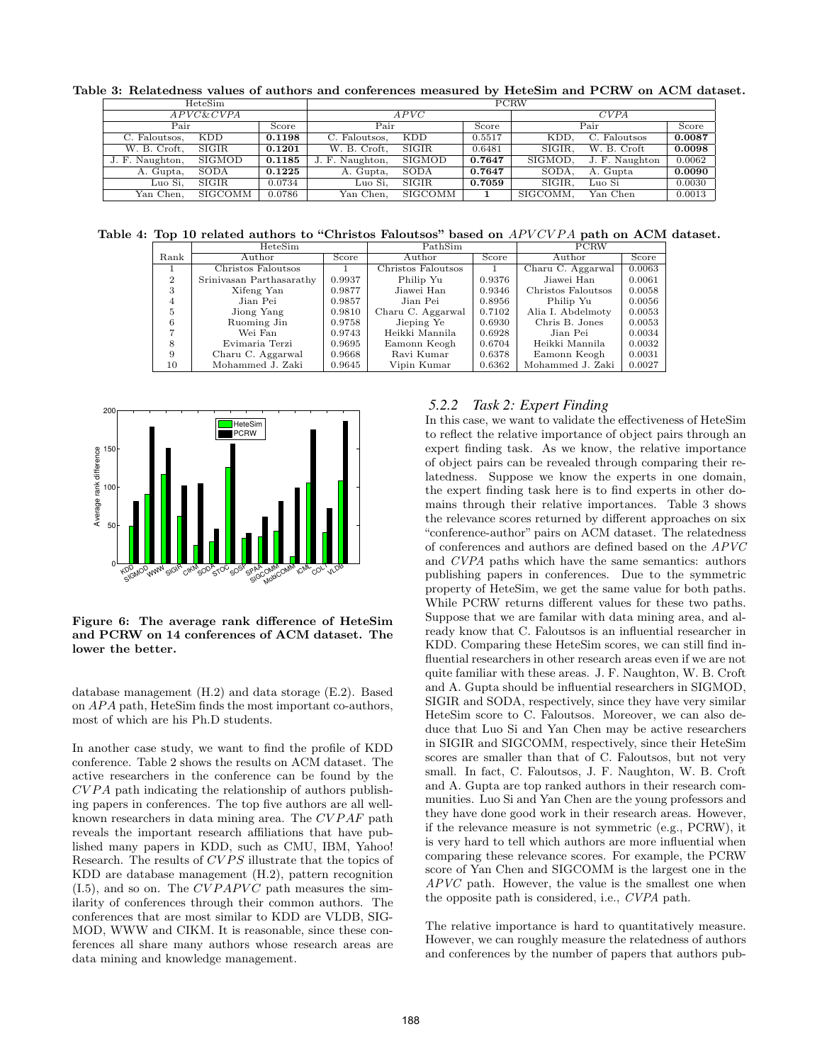Table 3: Relatedness values of authors and conferences measured by HeteSim and PCRW on ACM dataset.

|                 | HeteSim      |        | PCRW            |              |        |          |                |        |  |
|-----------------|--------------|--------|-----------------|--------------|--------|----------|----------------|--------|--|
|                 | APVC&CVPA    |        | A P V C         |              |        | CVPA     |                |        |  |
| Pair            |              | Score  | Pair            |              | Score  | Pair     |                | Score  |  |
| C. Faloutsos,   | <b>KDD</b>   | 0.1198 | C. Faloutsos.   | KDD          | 0.5517 | KDD.     | C. Faloutsos   | 0.0087 |  |
| W. B. Croft.    | <b>SIGIR</b> | 0.1201 | W. B. Croft.    | <b>SIGIR</b> | 0.6481 | SIGIR.   | W. B. Croft    | 0.0098 |  |
| J. F. Naughton, | SIGMOD       | 0.1185 | J. F. Naughton, | SIGMOD       | 0.7647 | SIGMOD.  | J. F. Naughton | 0.0062 |  |
| A. Gupta,       | SODA         | 0.1225 | A. Gupta,       | SODA         | 0.7647 | SODA     | A. Gupta       | 0.0090 |  |
| Luo Si,         | <b>SIGIR</b> | 0.0734 | Luo Si,         | <b>SIGIR</b> | 0.7059 | SIGIR.   | Luo Si         | 0.0030 |  |
| Yan Chen.       | SIGCOMM      | 0.0786 | Yan Chen.       | SIGCOMM      |        | SIGCOMM. | Yan Chen       | 0.0013 |  |

Table 4: Top 10 related authors to "Christos Faloutsos" based on  $APVCVPA$  path on ACM dataset.

|               | HeteSim                     | PathSim |                    | <b>PCRW</b> |                    |        |
|---------------|-----------------------------|---------|--------------------|-------------|--------------------|--------|
| Rank          | Author                      | Score   | Author             | Score       | Author             | Score  |
|               | Christos Faloutsos          |         | Christos Faloutsos |             | Charu C. Aggarwal  | 0.0063 |
| $\mathcal{D}$ | Srinivasan Parthasarathy    | 0.9937  | Philip Yu          | 0.9376      | Jiawei Han         | 0.0061 |
|               | Xifeng Yan                  | 0.9877  | Jiawei Han         | 0.9346      | Christos Faloutsos | 0.0058 |
| 4             | Jian Pei                    | 0.9857  | Jian Pei           | 0.8956      | Philip Yu          | 0.0056 |
| 5             | Jiong Yang                  | 0.9810  | Charu C. Aggarwal  | 0.7102      | Alia I. Abdelmoty  | 0.0053 |
| 6             | Ruoming Jin                 | 0.9758  | Jieping Ye         | 0.6930      | Chris B. Jones     | 0.0053 |
|               | Wei Fan                     | 0.9743  | Heikki Mannila     | 0.6928      | Jian Pei           | 0.0034 |
|               | Evimaria Terzi              |         | Eamonn Keogh       | 0.6704      | Heikki Mannila     | 0.0032 |
| 9             | Charu C. Aggarwal<br>0.9668 |         | Ravi Kumar         | 0.6378      | Eamonn Keogh       | 0.0031 |
| 10            | Mohammed J. Zaki            | 0.9645  | Vipin Kumar        | 0.6362      | Mohammed J. Zaki   | 0.0027 |



Figure 6: The average rank difference of HeteSim and PCRW on 14 conferences of ACM dataset. The lower the better.

database management (H.2) and data storage (E.2). Based on  $APA$  path, HeteSim finds the most important co-authors, most of which are his Ph.D students.

In another case study, we want to find the profile of KDD conference. Table 2 shows the results on ACM dataset. The active researchers in the conference can be found by the  $CVPA$  path indicating the relationship of authors publishing papers in conferences. The top five authors are all wellknown researchers in data mining area. The CVPAF path reveals the important research affiliations that have published many papers in KDD, such as CMU, IBM, Yahoo! Research. The results of  $CVPS$  illustrate that the topics of KDD are database management (H.2), pattern recognition  $(1.5)$ , and so on. The *CVPAPVC* path measures the similarity of conferences through their common authors. The conferences that are most similar to KDD are VLDB, SIG-MOD, WWW and CIKM. It is reasonable, since these conferences all share many authors whose research areas are data mining and knowledge management.

## *5.2.2 Task 2: Expert Finding*

In this case, we want to validate the effectiveness of HeteSim to reflect the relative importance of object pairs through an expert finding task. As we know, the relative importance of object pairs can be revealed through comparing their relatedness. Suppose we know the experts in one domain, the expert finding task here is to find experts in other domains through their relative importances. Table 3 shows the relevance scores returned by different approaches on six "conference-author" pairs on ACM dataset. The relatedness of conferences and authors are defined based on the APVC and CVPA paths which have the same semantics: authors publishing papers in conferences. Due to the symmetric property of HeteSim, we get the same value for both paths. While PCRW returns different values for these two paths. Suppose that we are familar with data mining area, and already know that C. Faloutsos is an influential researcher in KDD. Comparing these HeteSim scores, we can still find influential researchers in other research areas even if we are not quite familiar with these areas. J. F. Naughton, W. B. Croft and A. Gupta should be influential researchers in SIGMOD, SIGIR and SODA, respectively, since they have very similar HeteSim score to C. Faloutsos. Moreover, we can also deduce that Luo Si and Yan Chen may be active researchers in SIGIR and SIGCOMM, respectively, since their HeteSim scores are smaller than that of C. Faloutsos, but not very small. In fact, C. Faloutsos, J. F. Naughton, W. B. Croft and A. Gupta are top ranked authors in their research communities. Luo Si and Yan Chen are the young professors and they have done good work in their research areas. However, if the relevance measure is not symmetric (e.g., PCRW), it is very hard to tell which authors are more influential when comparing these relevance scores. For example, the PCRW score of Yan Chen and SIGCOMM is the largest one in the APVC path. However, the value is the smallest one when the opposite path is considered, i.e., CVPA path.

The relative importance is hard to quantitatively measure. However, we can roughly measure the relatedness of authors and conferences by the number of papers that authors pub-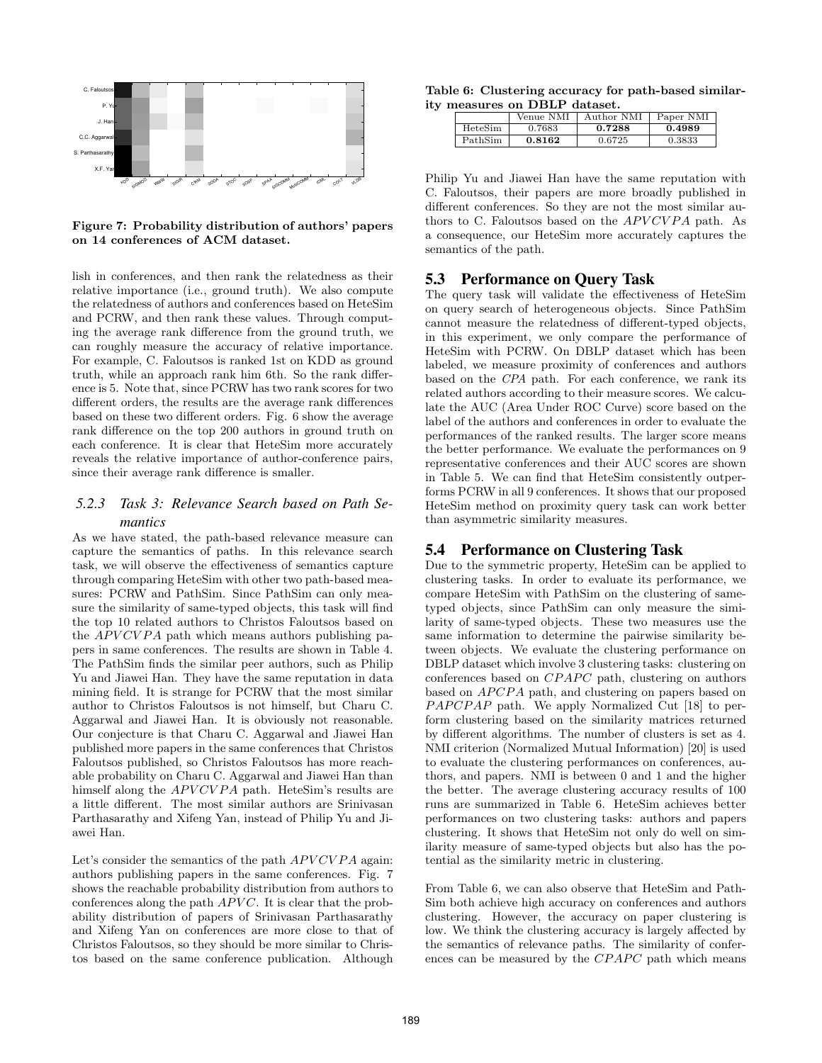

Figure 7: Probability distribution of authors' papers on 14 conferences of ACM dataset.

lish in conferences, and then rank the relatedness as their relative importance (i.e., ground truth). We also compute the relatedness of authors and conferences based on HeteSim and PCRW, and then rank these values. Through computing the average rank difference from the ground truth, we can roughly measure the accuracy of relative importance. For example, C. Faloutsos is ranked 1st on KDD as ground truth, while an approach rank him 6th. So the rank difference is 5. Note that, since PCRW has two rank scores for two different orders, the results are the average rank differences based on these two different orders. Fig. 6 show the average rank difference on the top 200 authors in ground truth on each conference. It is clear that HeteSim more accurately reveals the relative importance of author-conference pairs, since their average rank difference is smaller.

# *5.2.3 Task 3: Relevance Search based on Path Semantics*

As we have stated, the path-based relevance measure can capture the semantics of paths. In this relevance search task, we will observe the effectiveness of semantics capture through comparing HeteSim with other two path-based measures: PCRW and PathSim. Since PathSim can only measure the similarity of same-typed objects, this task will find the top 10 related authors to Christos Faloutsos based on the  $APVCVPA$  path which means authors publishing papers in same conferences. The results are shown in Table 4. The PathSim finds the similar peer authors, such as Philip Yu and Jiawei Han. They have the same reputation in data mining field. It is strange for PCRW that the most similar author to Christos Faloutsos is not himself, but Charu C. Aggarwal and Jiawei Han. It is obviously not reasonable. Our conjecture is that Charu C. Aggarwal and Jiawei Han published more papers in the same conferences that Christos Faloutsos published, so Christos Faloutsos has more reachable probability on Charu C. Aggarwal and Jiawei Han than himself along the  $APVCVPA$  path. HeteSim's results are a little different. The most similar authors are Srinivasan Parthasarathy and Xifeng Yan, instead of Philip Yu and Jiawei Han.

Let's consider the semantics of the path  $APVCVPA$  again: authors publishing papers in the same conferences. Fig. 7 shows the reachable probability distribution from authors to conferences along the path  $APVC$ . It is clear that the probability distribution of papers of Srinivasan Parthasarathy and Xifeng Yan on conferences are more close to that of Christos Faloutsos, so they should be more similar to Christos based on the same conference publication. Although

Table 6: Clustering accuracy for path-based similarity measures on DBLP dataset.

|         | Venue NMI | Author NMI | Paper NMI |
|---------|-----------|------------|-----------|
| HeteSim | 0.7683    | 0.7288     | 0.4989    |
| PathSim | 0.8162    | 0.6725     | 0.3833    |

Philip Yu and Jiawei Han have the same reputation with C. Faloutsos, their papers are more broadly published in different conferences. So they are not the most similar authors to C. Faloutsos based on the  $APVCVPA$  path. As a consequence, our HeteSim more accurately captures the semantics of the path.

# **5.3 Performance on Query Task**

The query task will validate the effectiveness of HeteSim on query search of heterogeneous objects. Since PathSim cannot measure the relatedness of different-typed objects, in this experiment, we only compare the performance of HeteSim with PCRW. On DBLP dataset which has been labeled, we measure proximity of conferences and authors based on the CPA path. For each conference, we rank its related authors according to their measure scores. We calculate the AUC (Area Under ROC Curve) score based on the label of the authors and conferences in order to evaluate the performances of the ranked results. The larger score means the better performance. We evaluate the performances on 9 representative conferences and their AUC scores are shown in Table 5. We can find that HeteSim consistently outperforms PCRW in all 9 conferences. It shows that our proposed HeteSim method on proximity query task can work better than asymmetric similarity measures.

## **5.4 Performance on Clustering Task**

Due to the symmetric property, HeteSim can be applied to clustering tasks. In order to evaluate its performance, we compare HeteSim with PathSim on the clustering of sametyped objects, since PathSim can only measure the similarity of same-typed objects. These two measures use the same information to determine the pairwise similarity between objects. We evaluate the clustering performance on DBLP dataset which involve 3 clustering tasks: clustering on conferences based on  $CPAPC$  path, clustering on authors based on *APCPA* path, and clustering on papers based on PAPCPAP path. We apply Normalized Cut [18] to perform clustering based on the similarity matrices returned by different algorithms. The number of clusters is set as 4. NMI criterion (Normalized Mutual Information) [20] is used to evaluate the clustering performances on conferences, authors, and papers. NMI is between 0 and 1 and the higher the better. The average clustering accuracy results of 100 runs are summarized in Table 6. HeteSim achieves better performances on two clustering tasks: authors and papers clustering. It shows that HeteSim not only do well on similarity measure of same-typed objects but also has the potential as the similarity metric in clustering.

From Table 6, we can also observe that HeteSim and Path-Sim both achieve high accuracy on conferences and authors clustering. However, the accuracy on paper clustering is low. We think the clustering accuracy is largely affected by the semantics of relevance paths. The similarity of conferences can be measured by the  $CPAPC$  path which means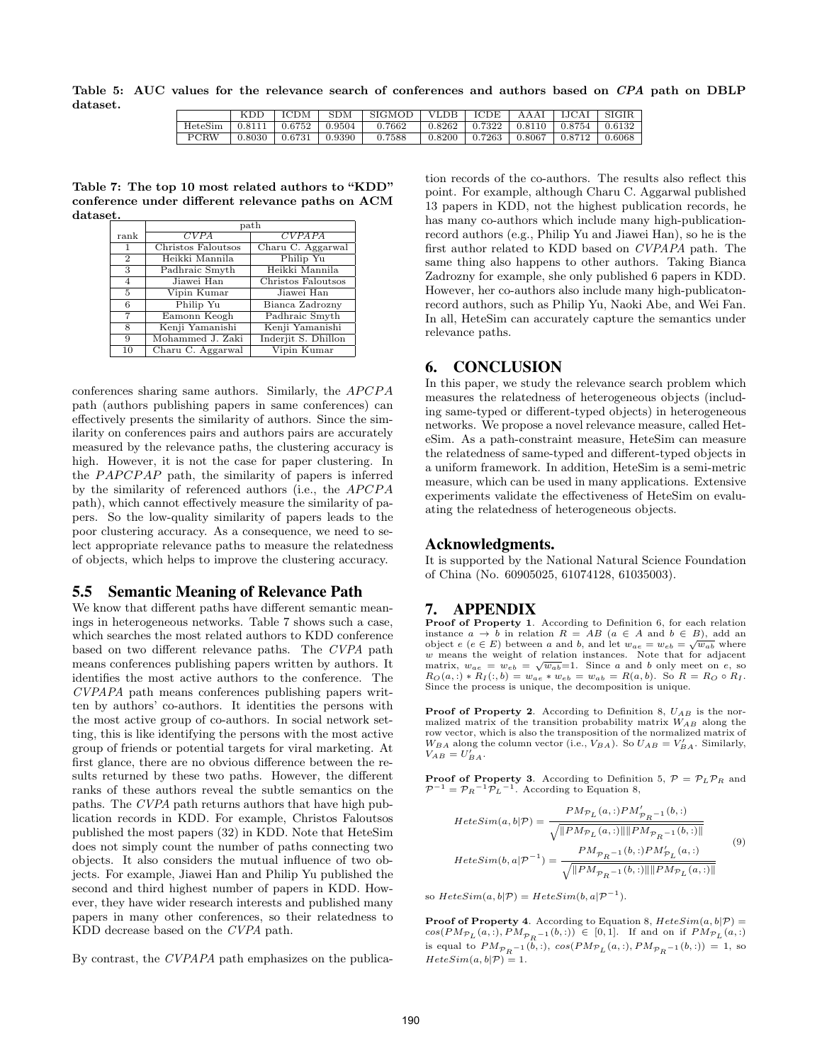Table 5: AUC values for the relevance search of conferences and authors based on CPA path on DBLP dataset.

|         |        | <b>ICDM</b>     | <b>SDM</b> | SIGMOD | VLDB   | ICDE     | AAAI   | IJCAI                         | SIGIR |
|---------|--------|-----------------|------------|--------|--------|----------|--------|-------------------------------|-------|
| HeteSim | 0.8111 | $0.6752$ 0.9504 |            | 0.7662 | 0.8262 | 0.7322   | 0.8110 | $\vert$ 0.8754 $\vert$ 0.6132 |       |
| PCRW    | 0.8030 | 0.6731          | 0.9390     | 0.7588 | 0.8200 | $0.7263$ | 0.8067 | $\vert 0.8712 \vert 0.6068$   |       |

Table 7: The top 10 most related authors to "KDD" conference under different relevance paths on ACM dataset.

|                | $_{\rm path}$      |                     |  |  |  |  |  |
|----------------|--------------------|---------------------|--|--|--|--|--|
| rank           | CVPA               | CVPAPA              |  |  |  |  |  |
| 1              | Christos Faloutsos | Charu C. Aggarwal   |  |  |  |  |  |
| $\overline{2}$ | Heikki Mannila     | Philip Yu           |  |  |  |  |  |
| 3              | Padhraic Smyth     | Heikki Mannila      |  |  |  |  |  |
| $\overline{4}$ | Jiawei Han         | Christos Faloutsos  |  |  |  |  |  |
| 5              | Vipin Kumar        | Jiawei Han          |  |  |  |  |  |
| 6              | Philip Yu          | Bianca Zadrozny     |  |  |  |  |  |
| 7              | Eamonn Keogh       | Padhraic Smyth      |  |  |  |  |  |
| 8              | Kenji Yamanishi    | Kenji Yamanishi     |  |  |  |  |  |
| 9              | Mohammed J. Zaki   | Inderjit S. Dhillon |  |  |  |  |  |
| 10             | Charu C. Aggarwal  | Vipin Kumar         |  |  |  |  |  |

conferences sharing same authors. Similarly, the  $APCPA$ path (authors publishing papers in same conferences) can effectively presents the similarity of authors. Since the similarity on conferences pairs and authors pairs are accurately measured by the relevance paths, the clustering accuracy is high. However, it is not the case for paper clustering. In the *PAPCPAP* path, the similarity of papers is inferred by the similarity of referenced authors (i.e., the APCPA path), which cannot effectively measure the similarity of papers. So the low-quality similarity of papers leads to the poor clustering accuracy. As a consequence, we need to select appropriate relevance paths to measure the relatedness of objects, which helps to improve the clustering accuracy.

## **5.5 Semantic Meaning of Relevance Path**

We know that different paths have different semantic meanings in heterogeneous networks. Table 7 shows such a case, which searches the most related authors to KDD conference based on two different relevance paths. The CVPA path means conferences publishing papers written by authors. It identifies the most active authors to the conference. The CVPAPA path means conferences publishing papers written by authors' co-authors. It identities the persons with the most active group of co-authors. In social network setting, this is like identifying the persons with the most active group of friends or potential targets for viral marketing. At first glance, there are no obvious difference between the results returned by these two paths. However, the different ranks of these authors reveal the subtle semantics on the paths. The CVPA path returns authors that have high publication records in KDD. For example, Christos Faloutsos published the most papers (32) in KDD. Note that HeteSim does not simply count the number of paths connecting two objects. It also considers the mutual influence of two objects. For example, Jiawei Han and Philip Yu published the second and third highest number of papers in KDD. However, they have wider research interests and published many papers in many other conferences, so their relatedness to KDD decrease based on the CVPA path.

By contrast, the CVPAPA path emphasizes on the publica-

tion records of the co-authors. The results also reflect this point. For example, although Charu C. Aggarwal published 13 papers in KDD, not the highest publication records, he has many co-authors which include many high-publicationrecord authors (e.g., Philip Yu and Jiawei Han), so he is the first author related to KDD based on CVPAPA path. The same thing also happens to other authors. Taking Bianca Zadrozny for example, she only published 6 papers in KDD. However, her co-authors also include many high-publicatonrecord authors, such as Philip Yu, Naoki Abe, and Wei Fan. In all, HeteSim can accurately capture the semantics under relevance paths.

## **6. CONCLUSION**

In this paper, we study the relevance search problem which measures the relatedness of heterogeneous objects (including same-typed or different-typed objects) in heterogeneous networks. We propose a novel relevance measure, called HeteSim. As a path-constraint measure, HeteSim can measure the relatedness of same-typed and different-typed objects in a uniform framework. In addition, HeteSim is a semi-metric measure, which can be used in many applications. Extensive experiments validate the effectiveness of HeteSim on evaluating the relatedness of heterogeneous objects.

#### **Acknowledgments.**

It is supported by the National Natural Science Foundation of China (No. 60905025, 61074128, 61035003).

## **7. APPENDIX**

Proof of Property 1. According to Definition 6, for each relation instance  $a \rightarrow b$  in relation  $R = AB$  ( $a \in A$  and  $b \in B$ ), add an object  $e (e \in E)$  between a and b, and let  $w_{ae} = w_{eb} = \sqrt{w_{ab}}$  where w means the weight of relation instances. Note that for adjacent matrix,  $w_{ae} = w_{eb} = \sqrt{w_{ab}} = 1$ . Since a and b only meet on e, so  $R_O(a,:)*R_I(:,b) = w_{ae} * w_{eb} = w_{ab} = R(a,b).$  So  $R = R_O \circ R_I.$ Since the process is unique, the decomposition is unique.

**Proof of Property 2.** According to Definition 8,  $U_{AB}$  is the normalized matrix of the transition probability matrix  $W_{AB}$  along the row vector, which is also the transposition of the normalized matrix of  $W_{BA}$  along the column vector (i.e.,  $V_{BA}$ ). So  $U_{AB} = V'_{BA}$ . Similarly,  $V_{AB}=U_{BA}^{\prime}$ .

**Proof of Property 3.** According to Definition 5,  $\mathcal{P} = \mathcal{P}_L \mathcal{P}_R$  and  $\mathcal{P}^{-1} = \mathcal{P}_R^{-1} \overline{\mathcal{P}}_L^{-1}$ . According to Equation 8,

$$
HeteSim(a, b | \mathcal{P}) = \frac{PM_{\mathcal{P}_L}(a, :)PM'_{\mathcal{P}_R-1}(b, :)}{\sqrt{||PM_{\mathcal{P}_L}(a, :)|| ||PM_{\mathcal{P}_R-1}(b, :)||}}
$$

$$
HeteSim(b, a | \mathcal{P}^{-1}) = \frac{PM_{\mathcal{P}_R-1}(b, :)PM'_{\mathcal{P}_L}(a, :)}{\sqrt{||PM_{\mathcal{P}_R-1}(b, :)|| ||PM_{\mathcal{P}_L}(a, :)||}}
$$
(9)

so  $HeteSim(a, b | \mathcal{P}) = HeteSim(b, a | \mathcal{P}^{-1}).$ 

**Proof of Property 4.** According to Equation 8,  $HeteSim(a, b | \mathcal{P}) =$  $cos(PM_{\mathcal{P}_L}(a, :), PM_{\mathcal{P}_R-1}(b, :)) \in [0, 1].$  If and on if  $PM_{\mathcal{P}_L}(a, :)$ is equal to  $PM_{\mathcal{P}_R-1}(b, :), \cos(PM_{\mathcal{P}_L}(a, :), PM_{\mathcal{P}_R-1}(b, :)) = 1$ , so  $HeteSim(a, b|\mathcal{P}) = 1.$